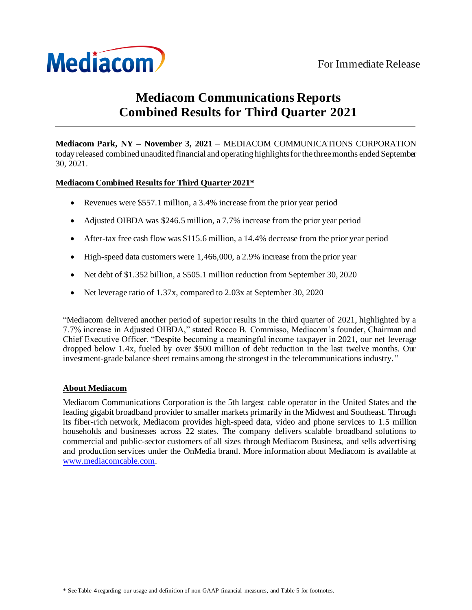

# **Mediacom Communications Reports Combined Results for Third Quarter 2021**

**Mediacom Park, NY – November 3, 2021** – MEDIACOM COMMUNICATIONS CORPORATION today released combined unaudited financial and operating highlights for the three months ended September 30, 2021.

# **Mediacom Combined Results for Third Quarter 2021\***

- Revenues were \$557.1 million, a 3.4% increase from the prior year period
- Adjusted OIBDA was \$246.5 million, a 7.7% increase from the prior year period
- After-tax free cash flow was \$115.6 million, a 14.4% decrease from the prior year period
- High-speed data customers were 1,466,000, a 2.9% increase from the prior year
- Net debt of \$1.352 billion, a \$505.1 million reduction from September 30, 2020
- Net leverage ratio of 1.37x, compared to 2.03x at September 30, 2020

"Mediacom delivered another period of superior results in the third quarter of 2021, highlighted by a 7.7% increase in Adjusted OIBDA," stated Rocco B. Commisso, Mediacom's founder, Chairman and Chief Executive Officer. "Despite becoming a meaningful income taxpayer in 2021, our net leverage dropped below 1.4x, fueled by over \$500 million of debt reduction in the last twelve months. Our investment-grade balance sheet remains among the strongest in the telecommunications industry."

## **About Mediacom**

Mediacom Communications Corporation is the 5th largest cable operator in the United States and the leading gigabit broadband provider to smaller markets primarily in the Midwest and Southeast. Through its fiber-rich network, Mediacom provides high-speed data, video and phone services to 1.5 million households and businesses across 22 states. The company delivers scalable broadband solutions to commercial and public-sector customers of all sizes through Mediacom Business, and sells advertising and production services under the OnMedia brand. More information about Mediacom is available at [www.mediacomcable.com](http://www.mediacomcable.com/).

<sup>\*</sup> See Table 4 regarding our usage and definition of non-GAAP financial measures, and Table 5 for footnotes.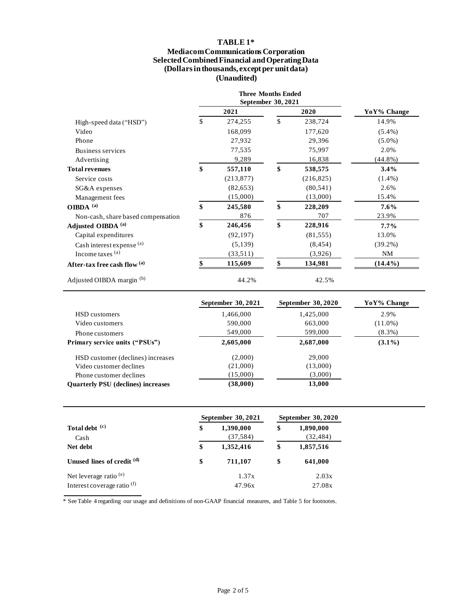# **TABLE 1\***

#### **Mediacom Communications Corporation Selected Combined Financial and Operating Data (Dollars in thousands, except per unit data) (Unaudited)**

|                                    | <b>Three Months Ended</b><br>September 30, 2021 |               |             |
|------------------------------------|-------------------------------------------------|---------------|-------------|
| High-speed data ("HSD")            | 2021                                            | 2020          | YoY% Change |
|                                    | \$<br>274,255                                   | \$<br>238,724 | 14.9%       |
| Video                              | 168,099                                         | 177,620       | $(5.4\%)$   |
| Phone                              | 27,932                                          | 29,396        | $(5.0\%)$   |
| Business services                  | 77,535                                          | 75,997        | 2.0%        |
| Advertising                        | 9,289                                           | 16,838        | $(44.8\%)$  |
| <b>Total revenues</b>              | \$<br>557,110                                   | \$<br>538,575 | $3.4\%$     |
| Service costs                      | (213, 877)                                      | (216, 825)    | $(1.4\%)$   |
| SG&A expenses                      | (82, 653)                                       | (80, 541)     | 2.6%        |
| Management fees                    | (15,000)                                        | (13,000)      | 15.4%       |
| OIBDA $^{(a)}$                     | \$<br>245,580                                   | \$<br>228,209 | $7.6\%$     |
| Non-cash, share based compensation | 876                                             | 707           | 23.9%       |
| Adjusted OIBDA <sup>(a)</sup>      | \$<br>246,456                                   | \$<br>228,916 | $7.7\%$     |
| Capital expenditures               | (92, 197)                                       | (81, 555)     | 13.0%       |
| Cash interest expense (a)          | (5,139)                                         | (8, 454)      | $(39.2\%)$  |
| Income taxes $(a)$                 | (33,511)                                        | (3,926)       | NM          |
| After-tax free cash flow (a)       | 115,609                                         | 134,981       | $(14.4\%)$  |
| Adjusted OIBDA margin (b)          | 44.2%                                           | 42.5%         |             |

|                                           | <b>September 30, 2021</b> | <b>September 30, 2020</b> | YoY% Change |
|-------------------------------------------|---------------------------|---------------------------|-------------|
| HSD customers                             | 1,466,000                 | 1,425,000                 | 2.9%        |
| Video customers                           | 590,000                   | 663,000                   | $(11.0\%)$  |
| Phone customers                           | 549,000                   | 599,000                   | $(8.3\%)$   |
| Primary service units ("PSUs")            | 2,605,000                 | 2,687,000                 | $(3.1\%)$   |
| HSD customer (declines) increases         | (2,000)                   | 29,000                    |             |
| Video customer declines                   | (21,000)                  | (13,000)                  |             |
| Phone customer declines                   | (15,000)                  | (3,000)                   |             |
| <b>Ouarterly PSU</b> (declines) increases | (38,000)                  | 13,000                    |             |

|                                                         | September 30, 2021           | <b>September 30, 2020</b> |                        |  |
|---------------------------------------------------------|------------------------------|---------------------------|------------------------|--|
| Total debt (c)<br>Cash                                  | \$<br>1,390,000<br>(37, 584) | \$                        | 1,890,000<br>(32, 484) |  |
| Net debt                                                | \$<br>1,352,416              | \$                        | 1,857,516              |  |
| Unused lines of credit (d)                              | \$<br>711.107                | \$                        | 641,000                |  |
| Net leverage ratio $(e)$<br>Interest coverage ratio (f) | 1.37x<br>47.96x              |                           | 2.03x<br>27.08x        |  |

\* See Table 4 regarding our usage and definitions of non-GAAP financial measures, and Table 5 for footnotes.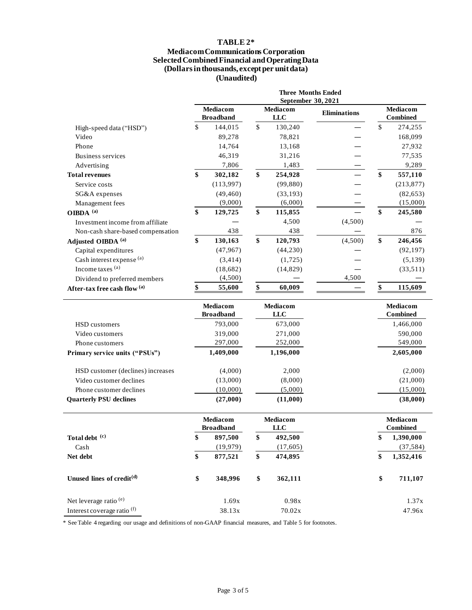## **TABLE 2\***

#### **Mediacom Communications Corporation Selected Combined Financial and Operating Data (Dollars in thousands, except per unit data) (Unaudited)**

|                                                              | <b>Three Months Ended</b><br>September 30, 2021 |                              |                 |                               |                     |                             |                             |  |
|--------------------------------------------------------------|-------------------------------------------------|------------------------------|-----------------|-------------------------------|---------------------|-----------------------------|-----------------------------|--|
|                                                              | Mediacom<br><b>Broadband</b>                    |                              |                 | Mediacom<br><b>LLC</b>        | <b>Eliminations</b> | Mediacom<br><b>Combined</b> |                             |  |
| High-speed data ("HSD")                                      | \$                                              | 144,015                      | $\mathbb{S}$    | 130,240                       |                     | $\mathbb{S}$                | 274,255                     |  |
| Video                                                        |                                                 | 89,278                       |                 | 78,821                        |                     |                             | 168,099                     |  |
| Phone                                                        |                                                 | 14,764                       |                 | 13,168                        |                     |                             | 27,932                      |  |
| <b>Business services</b>                                     |                                                 | 46,319                       |                 | 31,216                        |                     |                             | 77,535                      |  |
| Advertising                                                  |                                                 | 7,806                        |                 | 1,483                         |                     |                             | 9,289                       |  |
| <b>Total revenues</b>                                        | \$                                              | 302,182                      | \$              | 254,928                       |                     | \$                          | 557,110                     |  |
| Service costs                                                |                                                 | (113,997)                    |                 | (99, 880)                     |                     |                             | (213, 877)                  |  |
| SG&A expenses                                                |                                                 | (49, 460)                    |                 | (33, 193)                     |                     |                             | (82, 653)                   |  |
| Management fees                                              |                                                 | (9,000)                      |                 | (6,000)                       |                     |                             | (15,000)                    |  |
| OIBDA <sup>(a)</sup>                                         | \$                                              | 129,725                      | \$              | 115,855                       |                     | \$                          | 245,580                     |  |
| Investment income from affiliate                             |                                                 |                              |                 | 4,500                         | (4,500)             |                             |                             |  |
| Non-cash share-based compensation                            |                                                 | 438                          |                 | 438                           |                     |                             | 876                         |  |
| Adjusted OIBDA <sup>(a)</sup>                                | \$                                              | 130,163                      | \$              | 120,793                       | (4,500)             | \$                          | 246,456                     |  |
| Capital expenditures                                         |                                                 | (47, 967)                    |                 | (44, 230)                     |                     |                             | (92, 197)                   |  |
| Cash interest expense (a)                                    |                                                 | (3, 414)                     |                 | (1, 725)                      |                     |                             | (5, 139)                    |  |
| Income taxes (a)                                             |                                                 | (18, 682)                    |                 | (14, 829)                     |                     |                             | (33,511)                    |  |
| Dividend to preferred members                                |                                                 | (4,500)                      |                 |                               | 4,500               |                             |                             |  |
| After-tax free cash flow (a)                                 | \$                                              | 55,600                       | \$              | 60,009                        |                     |                             | 115,609                     |  |
|                                                              | Mediacom                                        |                              | <b>Mediacom</b> |                               |                     | Mediacom<br><b>Combined</b> |                             |  |
|                                                              |                                                 | <b>Broadband</b>             |                 | <b>LLC</b>                    |                     |                             |                             |  |
|                                                              |                                                 |                              |                 |                               |                     |                             |                             |  |
| HSD customers<br>Video customers                             |                                                 | 793,000                      |                 | 673,000                       |                     |                             | 1,466,000                   |  |
| Phone customers                                              |                                                 | 319,000                      |                 | 271,000                       |                     |                             | 590,000                     |  |
| Primary service units ("PSUs")                               |                                                 | 297,000<br>1,409,000         |                 | 252,000<br>1,196,000          |                     |                             | 549,000<br>2,605,000        |  |
|                                                              |                                                 |                              |                 |                               |                     |                             |                             |  |
| HSD customer (declines) increases<br>Video customer declines |                                                 | (4,000)                      |                 | 2,000                         |                     |                             | (2,000)                     |  |
| Phone customer declines                                      |                                                 | (13,000)                     |                 | (8,000)                       |                     |                             | (21,000)                    |  |
| <b>Quarterly PSU declines</b>                                |                                                 | (10,000)<br>(27,000)         |                 | (5,000)<br>(11,000)           |                     |                             | (15,000)<br>(38,000)        |  |
|                                                              |                                                 | Mediacom<br><b>Broadband</b> |                 | <b>Mediacom</b><br><b>LLC</b> |                     |                             | Mediacom<br><b>Combined</b> |  |
|                                                              |                                                 |                              | \$              |                               |                     | \$                          |                             |  |
| Total debt (c)                                               | \$                                              | 897,500                      |                 | 492,500                       |                     |                             | 1,390,000                   |  |
| Cash<br>Net debt                                             | \$                                              | (19, 979)<br>877,521         | \$              | (17, 605)<br>474,895          |                     | \$                          | (37, 584)<br>1,352,416      |  |
| Unused lines of credit <sup>(d)</sup>                        | \$                                              | 348,996                      | $\$$            | 362,111                       |                     | \$                          | 711,107                     |  |
| Net leverage ratio <sup>(e)</sup>                            |                                                 | 1.69x                        |                 | 0.98x                         |                     |                             | 1.37x                       |  |

\* See Table 4 regarding our usage and definitions of non-GAAP financial measures, and Table 5 for footnotes.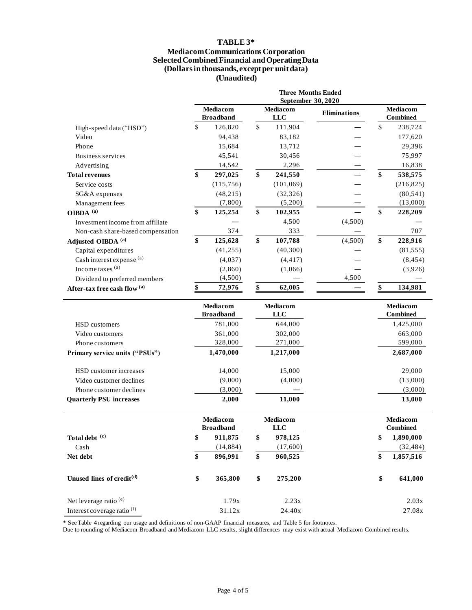## **TABLE 3\***

#### **Mediacom Communications Corporation Selected Combined Financial and Operating Data (Dollars in thousands, except per unit data) (Unaudited)**

|                                        | <b>Three Months Ended</b><br>September 30, 2020 |           |                        |                        |                     |                                    |                   |
|----------------------------------------|-------------------------------------------------|-----------|------------------------|------------------------|---------------------|------------------------------------|-------------------|
|                                        | Mediacom<br><b>Broadband</b>                    |           |                        | Mediacom<br><b>LLC</b> | <b>Eliminations</b> | Mediacom<br><b>Combined</b>        |                   |
| High-speed data ("HSD")                | \$                                              | 126,820   | $\mathbb{S}$           | 111,904                |                     | \$                                 | 238,724           |
| Video                                  |                                                 | 94,438    |                        | 83,182                 |                     |                                    | 177,620           |
| Phone                                  |                                                 | 15,684    |                        | 13,712                 |                     |                                    | 29,396            |
| <b>Business services</b>               |                                                 | 45,541    |                        | 30,456                 |                     |                                    | 75,997            |
| Advertising                            |                                                 | 14,542    |                        | 2,296                  |                     |                                    | 16,838            |
| <b>Total revenues</b>                  | \$                                              | 297,025   | \$                     | 241,550                |                     | \$                                 | 538,575           |
| Service costs                          |                                                 | (115,756) |                        | (101,069)              |                     |                                    | (216, 825)        |
| SG&A expenses                          |                                                 | (48, 215) |                        | (32, 326)              |                     |                                    | (80, 541)         |
| Management fees                        |                                                 | (7, 800)  |                        | (5,200)                |                     |                                    | (13,000)          |
| OIBDA <sup>(a)</sup>                   | \$                                              | 125,254   | \$                     | 102,955                |                     | \$                                 | 228,209           |
| Investment income from affiliate       |                                                 |           |                        | 4,500                  | (4,500)             |                                    |                   |
| Non-cash share-based compensation      |                                                 | 374       |                        | 333                    |                     |                                    | 707               |
| Adjusted OIBDA <sup>(a)</sup>          | \$                                              | 125,628   | \$                     | 107,788                | (4,500)             | \$                                 | 228,916           |
| Capital expenditures                   |                                                 | (41, 255) |                        | (40, 300)              |                     |                                    | (81, 555)         |
| Cash interest expense (a)              |                                                 | (4,037)   |                        | (4, 417)               |                     |                                    | (8, 454)          |
| Income taxes (a)                       |                                                 | (2,860)   |                        | (1,066)                |                     |                                    | (3,926)           |
| Dividend to preferred members          |                                                 | (4,500)   |                        |                        | 4,500               |                                    |                   |
| After-tax free cash flow (a)           | \$                                              | 72,976    | \$                     | 62,005                 |                     |                                    | 134,981           |
|                                        | Mediacom<br><b>Broadband</b>                    |           | <b>Mediacom</b><br>LLC |                        |                     | <b>Mediacom</b><br><b>Combined</b> |                   |
| <b>HSD</b> customers                   |                                                 | 781,000   |                        | 644,000                |                     |                                    | 1,425,000         |
| Video customers                        |                                                 | 361,000   |                        | 302,000                |                     |                                    | 663,000           |
| Phone customers                        |                                                 | 328,000   |                        | 271,000                |                     |                                    | 599,000           |
| Primary service units ("PSUs")         |                                                 | 1,470,000 |                        | 1,217,000              |                     |                                    | 2,687,000         |
| HSD customer increases                 |                                                 | 14,000    |                        | 15,000                 |                     |                                    | 29,000            |
| Video customer declines                |                                                 | (9,000)   |                        | (4,000)                |                     |                                    | (13,000)          |
| Phone customer declines                |                                                 | (3,000)   |                        |                        |                     |                                    | (3,000)           |
| <b>Quarterly PSU increases</b>         |                                                 | 2,000     |                        | 11,000                 |                     |                                    | 13,000            |
|                                        | Mediacom<br><b>Broadband</b>                    |           | Mediacom<br><b>LLC</b> |                        |                     | Mediacom<br><b>Combined</b>        |                   |
| Total debt (c)                         | \$                                              | 911,875   | \$                     | 978,125                |                     | \$                                 | 1,890,000         |
| Cash                                   |                                                 | (14, 884) |                        | (17,600)               |                     |                                    | (32, 484)         |
| Net debt                               | \$                                              | 896,991   | \$                     | 960,525                |                     | \$                                 | 1,857,516         |
| Unused lines of credit <sup>(d)</sup>  | \$                                              | 365,800   | \$                     | 275,200                |                     | \$                                 | 641,000           |
| Net leverage ratio <sup>(e)</sup>      |                                                 | 1.79x     |                        | 2.23x                  |                     |                                    | 2.03x             |
| Interest coverage ratio <sup>(f)</sup> |                                                 | 31.12x    |                        | 24.40x                 |                     |                                    | $27.08\mathrm{x}$ |

\* See Table 4 regarding our usage and definitions of non-GAAP financial measures, and Table 5 for footnotes.

Due to rounding of Mediacom Broadband and Mediacom LLC results, slight differences may exist with actual Mediacom Combined results.